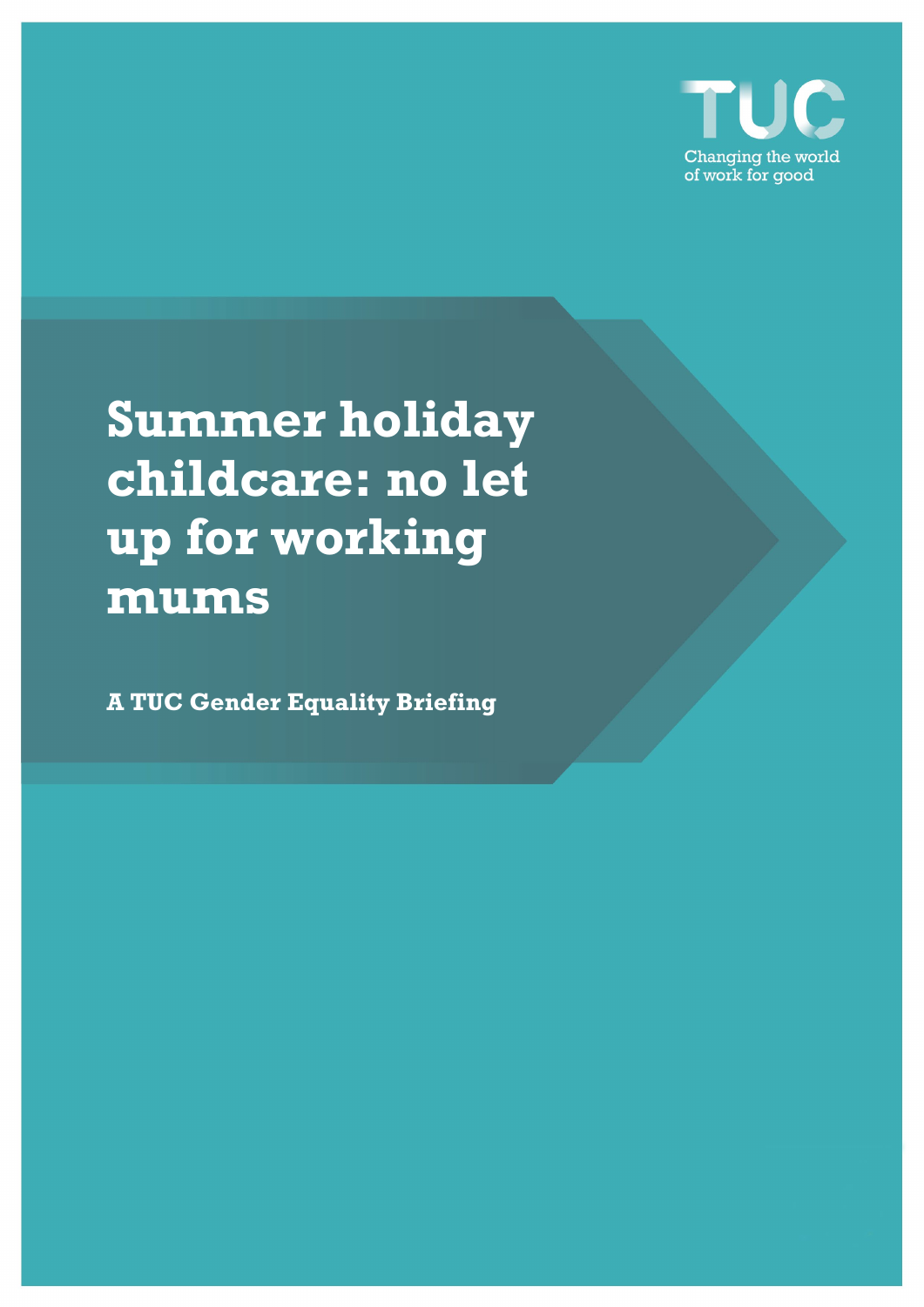

**Summer holiday childcare: no let up for working mums**

**A TUC Gender Equality Briefing**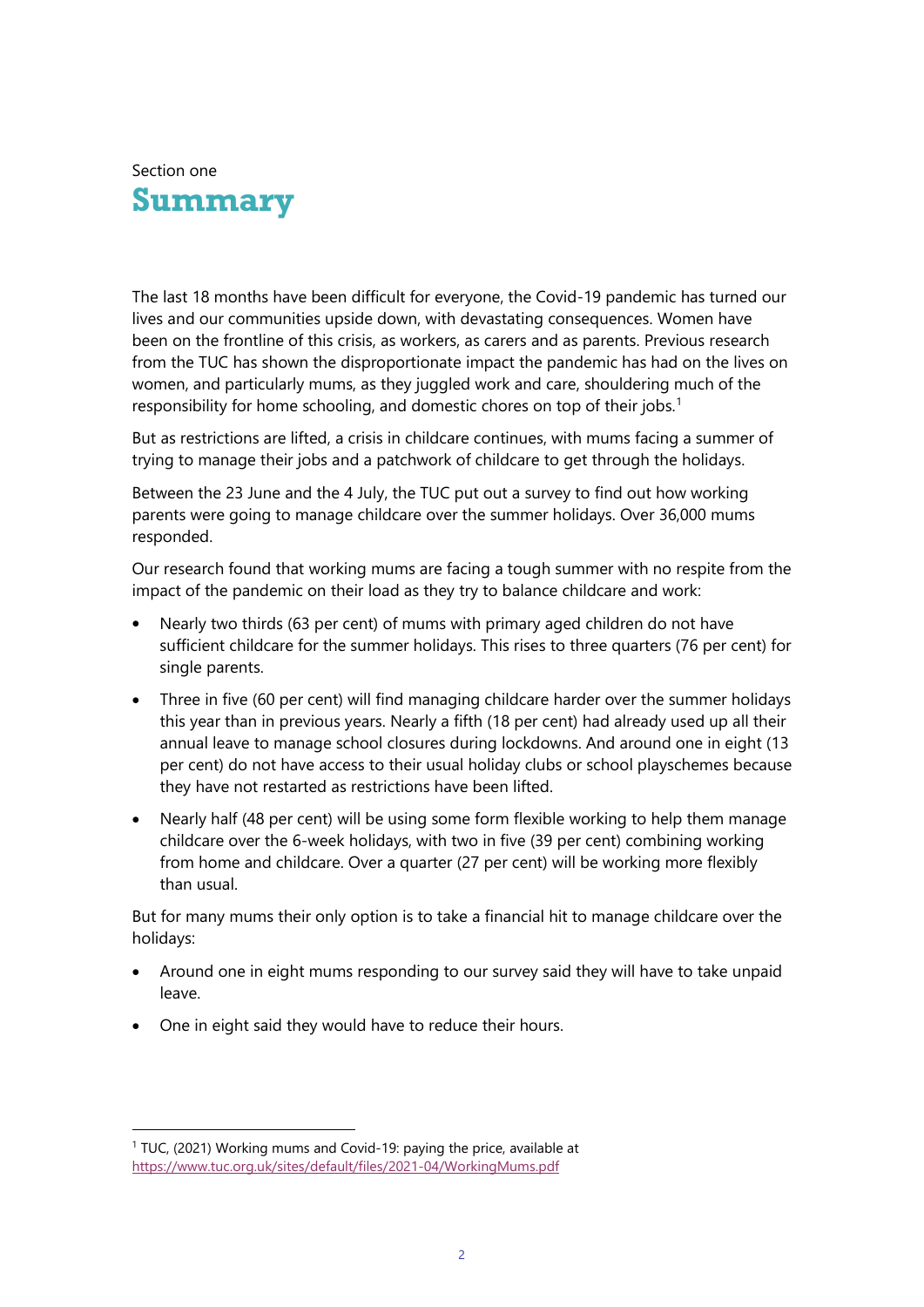

The last 18 months have been difficult for everyone, the Covid-19 pandemic has turned our lives and our communities upside down, with devastating consequences. Women have been on the frontline of this crisis, as workers, as carers and as parents. Previous research from the TUC has shown the disproportionate impact the pandemic has had on the lives on women, and particularly mums, as they juggled work and care, shouldering much of the responsibility for home schooling, and domestic chores on top of their jobs.<sup>[1](#page-1-0)</sup>

But as restrictions are lifted, a crisis in childcare continues, with mums facing a summer of trying to manage their jobs and a patchwork of childcare to get through the holidays.

Between the 23 June and the 4 July, the TUC put out a survey to find out how working parents were going to manage childcare over the summer holidays. Over 36,000 mums responded.

Our research found that working mums are facing a tough summer with no respite from the impact of the pandemic on their load as they try to balance childcare and work:

- Nearly two thirds (63 per cent) of mums with primary aged children do not have sufficient childcare for the summer holidays. This rises to three quarters (76 per cent) for single parents.
- Three in five (60 per cent) will find managing childcare harder over the summer holidays this year than in previous years. Nearly a fifth (18 per cent) had already used up all their annual leave to manage school closures during lockdowns. And around one in eight (13 per cent) do not have access to their usual holiday clubs or school playschemes because they have not restarted as restrictions have been lifted.
- Nearly half (48 per cent) will be using some form flexible working to help them manage childcare over the 6-week holidays, with two in five (39 per cent) combining working from home and childcare. Over a quarter (27 per cent) will be working more flexibly than usual.

But for many mums their only option is to take a financial hit to manage childcare over the holidays:

- Around one in eight mums responding to our survey said they will have to take unpaid leave.
- One in eight said they would have to reduce their hours.

<span id="page-1-0"></span><sup>1</sup> TUC, (2021) Working mums and Covid-19: paying the price, available at <https://www.tuc.org.uk/sites/default/files/2021-04/WorkingMums.pdf>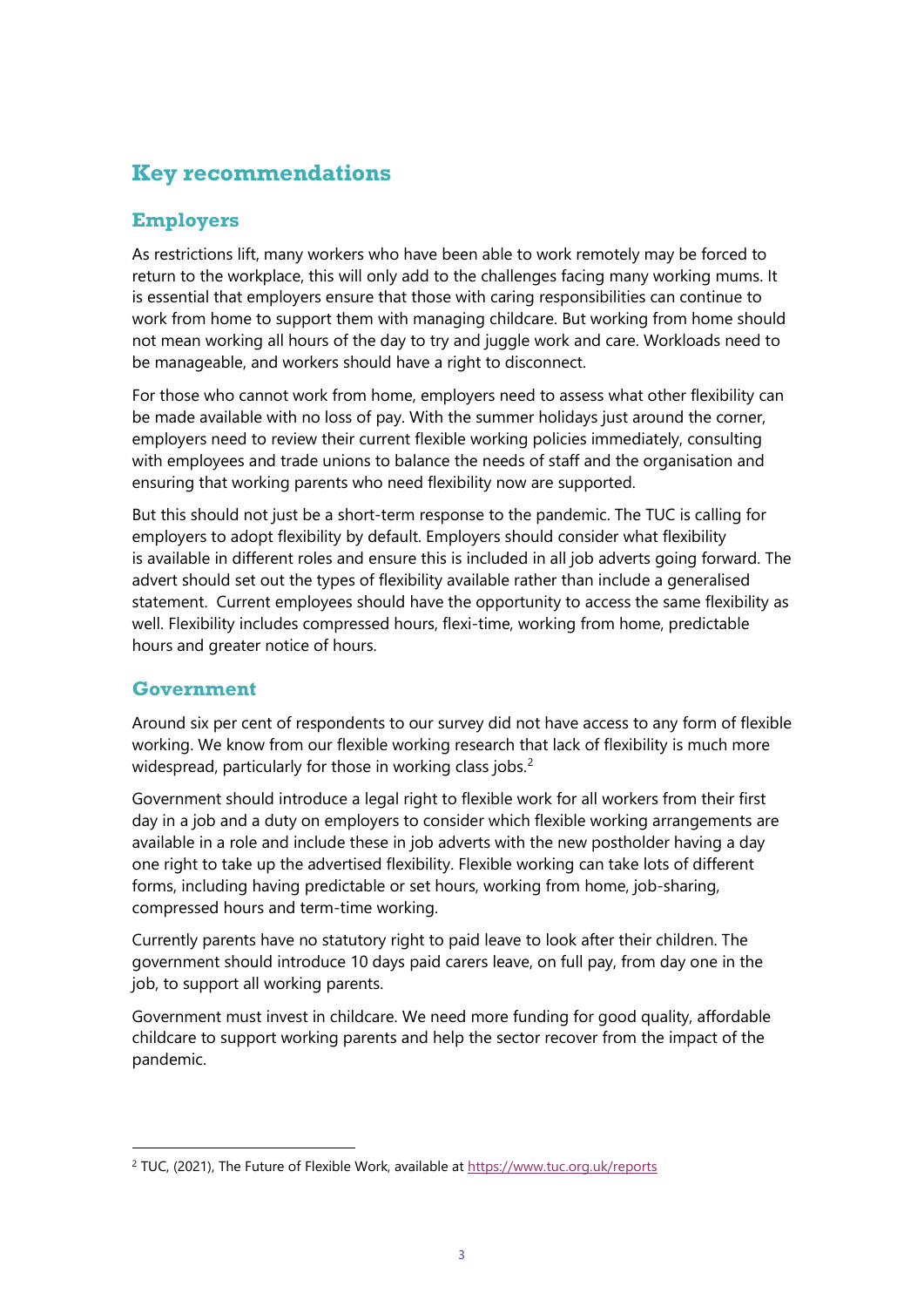### **Key recommendations**

### **Employers**

As restrictions lift, many workers who have been able to work remotely may be forced to return to the workplace, this will only add to the challenges facing many working mums. It is essential that employers ensure that those with caring responsibilities can continue to work from home to support them with managing childcare. But working from home should not mean working all hours of the day to try and juggle work and care. Workloads need to be manageable, and workers should have a right to disconnect.

For those who cannot work from home, employers need to assess what other flexibility can be made available with no loss of pay. With the summer holidays just around the corner, employers need to review their current flexible working policies immediately, consulting with employees and trade unions to balance the needs of staff and the organisation and ensuring that working parents who need flexibility now are supported.

But this should not just be a short-term response to the pandemic. The TUC is calling for employers to adopt flexibility by default. Employers should consider what flexibility is available in different roles and ensure this is included in all job adverts going forward. The advert should set out the types of flexibility available rather than include a generalised statement. Current employees should have the opportunity to access the same flexibility as well. Flexibility includes compressed hours, flexi-time, working from home, predictable hours and greater notice of hours.

### **Government**

Around six per cent of respondents to our survey did not have access to any form of flexible working. We know from our flexible working research that lack of flexibility is much more widespread, particularly for those in working class jobs.<sup>[2](#page-2-0)</sup>

Government should introduce a legal right to flexible work for all workers from their first day in a job and a duty on employers to consider which flexible working arrangements are available in a role and include these in job adverts with the new postholder having a day one right to take up the advertised flexibility. Flexible working can take lots of different forms, including having predictable or set hours, working from home, job-sharing, compressed hours and term-time working.

Currently parents have no statutory right to paid leave to look after their children. The government should introduce 10 days paid carers leave, on full pay, from day one in the job, to support all working parents.

Government must invest in childcare. We need more funding for good quality, affordable childcare to support working parents and help the sector recover from the impact of the pandemic.

<span id="page-2-0"></span><sup>&</sup>lt;sup>2</sup> TUC, (2021), The Future of Flexible Work, available at<https://www.tuc.org.uk/reports>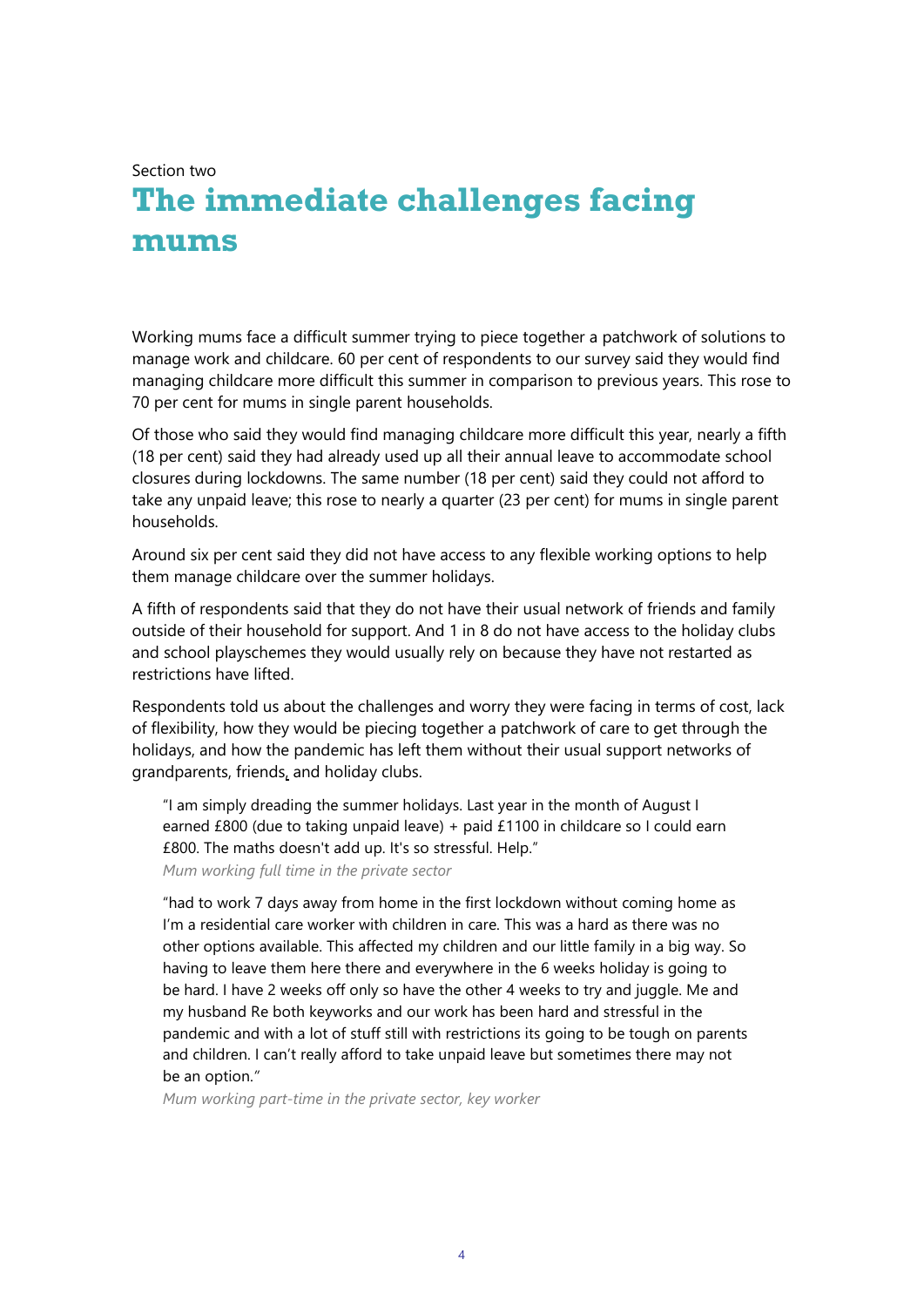Section two

# **The immediate challenges facing mums**

Working mums face a difficult summer trying to piece together a patchwork of solutions to manage work and childcare. 60 per cent of respondents to our survey said they would find managing childcare more difficult this summer in comparison to previous years. This rose to 70 per cent for mums in single parent households.

Of those who said they would find managing childcare more difficult this year, nearly a fifth (18 per cent) said they had already used up all their annual leave to accommodate school closures during lockdowns. The same number (18 per cent) said they could not afford to take any unpaid leave; this rose to nearly a quarter (23 per cent) for mums in single parent households.

Around six per cent said they did not have access to any flexible working options to help them manage childcare over the summer holidays.

A fifth of respondents said that they do not have their usual network of friends and family outside of their household for support. And 1 in 8 do not have access to the holiday clubs and school playschemes they would usually rely on because they have not restarted as restrictions have lifted.

Respondents told us about the challenges and worry they were facing in terms of cost, lack of flexibility, how they would be piecing together a patchwork of care to get through the holidays, and how the pandemic has left them without their usual support networks of grandparents, friends, and holiday clubs.

"I am simply dreading the summer holidays. Last year in the month of August I earned £800 (due to taking unpaid leave) + paid £1100 in childcare so I could earn £800. The maths doesn't add up. It's so stressful. Help." *Mum working full time in the private sector*

"had to work 7 days away from home in the first lockdown without coming home as I'm a residential care worker with children in care. This was a hard as there was no other options available. This affected my children and our little family in a big way. So having to leave them here there and everywhere in the 6 weeks holiday is going to be hard. I have 2 weeks off only so have the other 4 weeks to try and juggle. Me and my husband Re both keyworks and our work has been hard and stressful in the pandemic and with a lot of stuff still with restrictions its going to be tough on parents and children. I can't really afford to take unpaid leave but sometimes there may not be an option.*"*

*Mum working part-time in the private sector, key worker*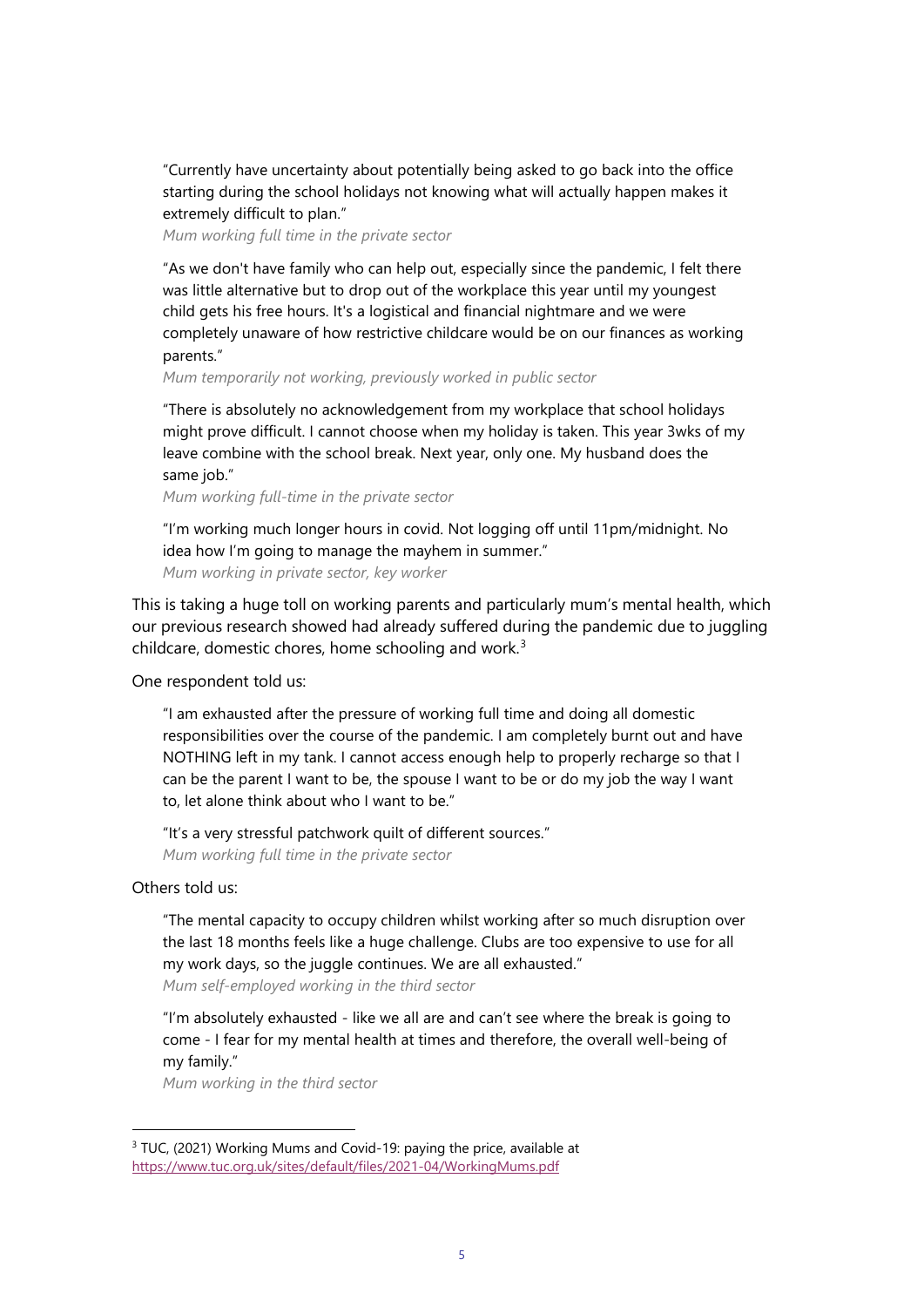"Currently have uncertainty about potentially being asked to go back into the office starting during the school holidays not knowing what will actually happen makes it extremely difficult to plan."

*Mum working full time in the private sector*

"As we don't have family who can help out, especially since the pandemic, I felt there was little alternative but to drop out of the workplace this year until my youngest child gets his free hours. It's a logistical and financial nightmare and we were completely unaware of how restrictive childcare would be on our finances as working parents."

*Mum temporarily not working, previously worked in public sector*

"There is absolutely no acknowledgement from my workplace that school holidays might prove difficult. I cannot choose when my holiday is taken. This year 3wks of my leave combine with the school break. Next year, only one. My husband does the same job."

*Mum working full-time in the private sector*

"I'm working much longer hours in covid. Not logging off until 11pm/midnight. No idea how I'm going to manage the mayhem in summer." *Mum working in private sector, key worker*

This is taking a huge toll on working parents and particularly mum's mental health, which our previous research showed had already suffered during the pandemic due to juggling childcare, domestic chores, home schooling and work. $3$ 

One respondent told us:

"I am exhausted after the pressure of working full time and doing all domestic responsibilities over the course of the pandemic. I am completely burnt out and have NOTHING left in my tank. I cannot access enough help to properly recharge so that I can be the parent I want to be, the spouse I want to be or do my job the way I want to, let alone think about who I want to be."

"It's a very stressful patchwork quilt of different sources." *Mum working full time in the private sector* 

Others told us:

"The mental capacity to occupy children whilst working after so much disruption over the last 18 months feels like a huge challenge. Clubs are too expensive to use for all my work days, so the juggle continues. We are all exhausted." *Mum self-employed working in the third sector*

"I'm absolutely exhausted - like we all are and can't see where the break is going to come - I fear for my mental health at times and therefore, the overall well-being of my family."

*Mum working in the third sector*

<span id="page-4-0"></span><sup>&</sup>lt;sup>3</sup> TUC, (2021) Working Mums and Covid-19: paying the price, available at <https://www.tuc.org.uk/sites/default/files/2021-04/WorkingMums.pdf>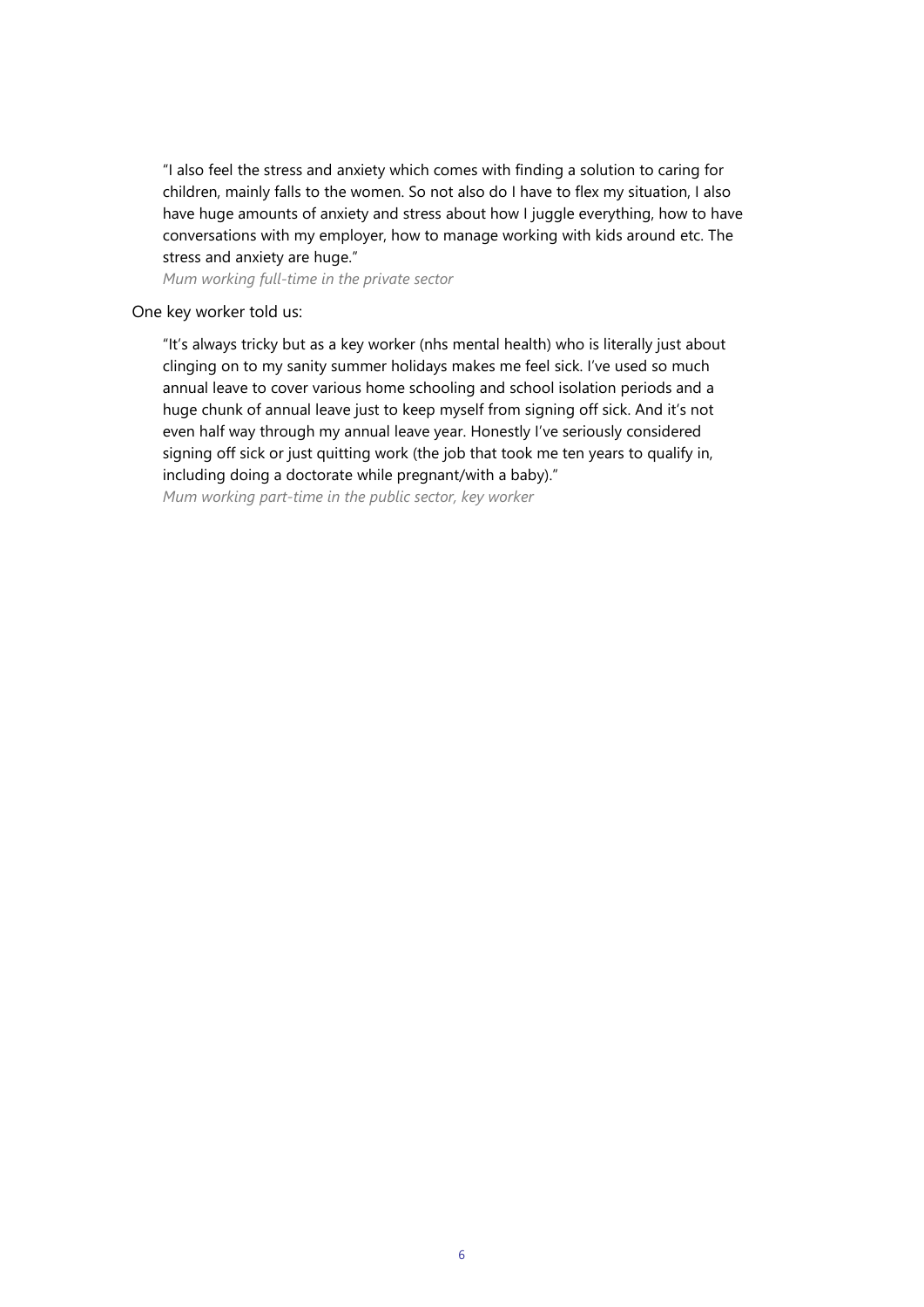"I also feel the stress and anxiety which comes with finding a solution to caring for children, mainly falls to the women. So not also do I have to flex my situation, I also have huge amounts of anxiety and stress about how I juggle everything, how to have conversations with my employer, how to manage working with kids around etc. The stress and anxiety are huge."

*Mum working full-time in the private sector*

#### One key worker told us:

"It's always tricky but as a key worker (nhs mental health) who is literally just about clinging on to my sanity summer holidays makes me feel sick. I've used so much annual leave to cover various home schooling and school isolation periods and a huge chunk of annual leave just to keep myself from signing off sick. And it's not even half way through my annual leave year. Honestly I've seriously considered signing off sick or just quitting work (the job that took me ten years to qualify in, including doing a doctorate while pregnant/with a baby)." *Mum working part-time in the public sector, key worker*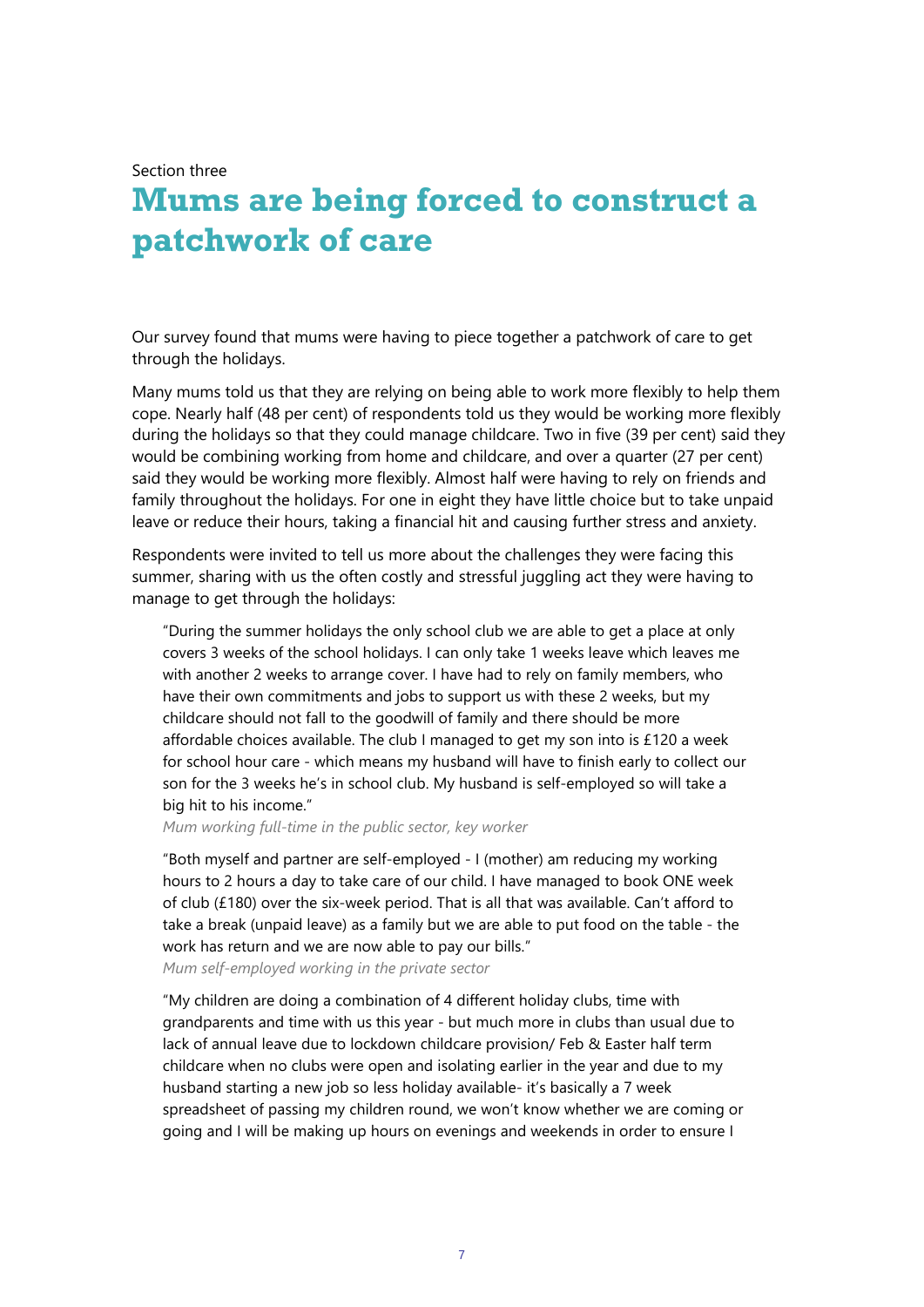Section three

## **Mums are being forced to construct a patchwork of care**

Our survey found that mums were having to piece together a patchwork of care to get through the holidays.

Many mums told us that they are relying on being able to work more flexibly to help them cope. Nearly half (48 per cent) of respondents told us they would be working more flexibly during the holidays so that they could manage childcare. Two in five (39 per cent) said they would be combining working from home and childcare, and over a quarter (27 per cent) said they would be working more flexibly. Almost half were having to rely on friends and family throughout the holidays. For one in eight they have little choice but to take unpaid leave or reduce their hours, taking a financial hit and causing further stress and anxiety.

Respondents were invited to tell us more about the challenges they were facing this summer, sharing with us the often costly and stressful juggling act they were having to manage to get through the holidays:

"During the summer holidays the only school club we are able to get a place at only covers 3 weeks of the school holidays. I can only take 1 weeks leave which leaves me with another 2 weeks to arrange cover. I have had to rely on family members, who have their own commitments and jobs to support us with these 2 weeks, but my childcare should not fall to the goodwill of family and there should be more affordable choices available. The club I managed to get my son into is £120 a week for school hour care - which means my husband will have to finish early to collect our son for the 3 weeks he's in school club. My husband is self-employed so will take a big hit to his income."

*Mum working full-time in the public sector, key worker*

"Both myself and partner are self-employed - I (mother) am reducing my working hours to 2 hours a day to take care of our child. I have managed to book ONE week of club (£180) over the six-week period. That is all that was available. Can't afford to take a break (unpaid leave) as a family but we are able to put food on the table - the work has return and we are now able to pay our bills."

*Mum self-employed working in the private sector*

"My children are doing a combination of 4 different holiday clubs, time with grandparents and time with us this year - but much more in clubs than usual due to lack of annual leave due to lockdown childcare provision/ Feb & Easter half term childcare when no clubs were open and isolating earlier in the year and due to my husband starting a new job so less holiday available- it's basically a 7 week spreadsheet of passing my children round, we won't know whether we are coming or going and I will be making up hours on evenings and weekends in order to ensure I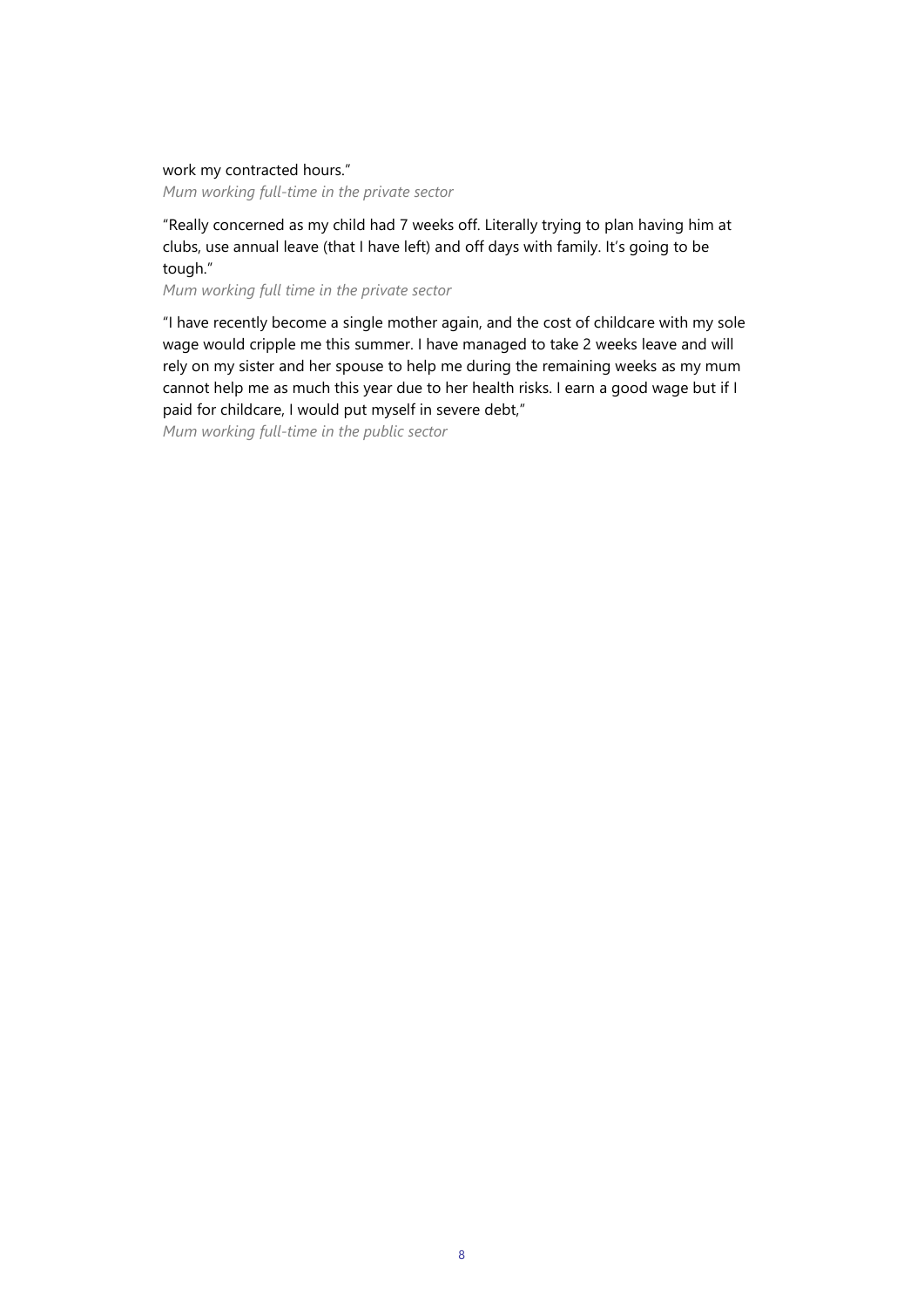#### work my contracted hours."

*Mum working full-time in the private sector*

"Really concerned as my child had 7 weeks off. Literally trying to plan having him at clubs, use annual leave (that I have left) and off days with family. It's going to be tough."

*Mum working full time in the private sector*

"I have recently become a single mother again, and the cost of childcare with my sole wage would cripple me this summer. I have managed to take 2 weeks leave and will rely on my sister and her spouse to help me during the remaining weeks as my mum cannot help me as much this year due to her health risks. I earn a good wage but if I paid for childcare, I would put myself in severe debt,"

*Mum working full-time in the public sector*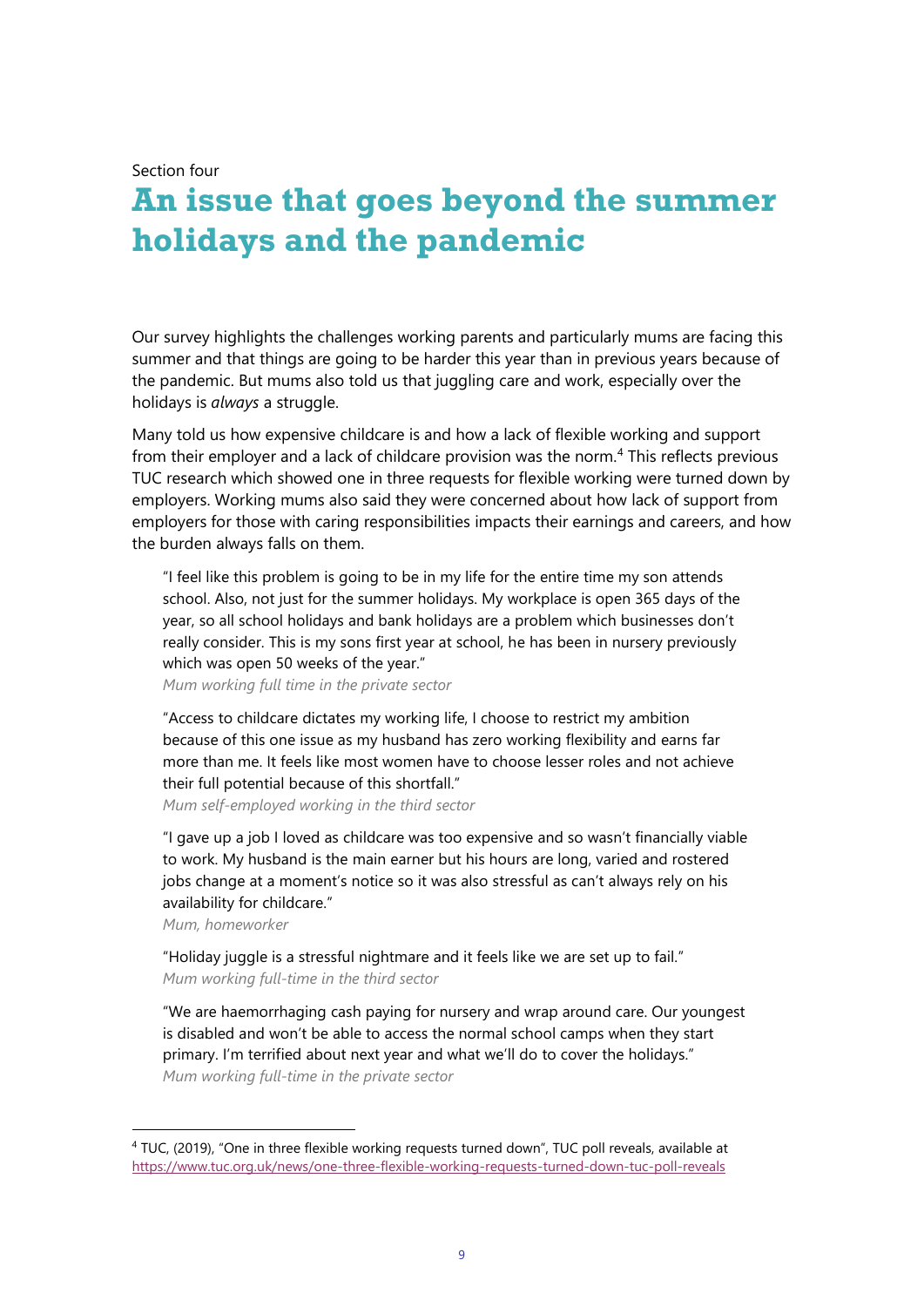Section four

## **An issue that goes beyond the summer holidays and the pandemic**

Our survey highlights the challenges working parents and particularly mums are facing this summer and that things are going to be harder this year than in previous years because of the pandemic. But mums also told us that juggling care and work, especially over the holidays is *always* a struggle.

Many told us how expensive childcare is and how a lack of flexible working and support from their employer and a lack of childcare provision was the norm.<sup>[4](#page-8-0)</sup> This reflects previous TUC research which showed one in three requests for flexible working were turned down by employers. Working mums also said they were concerned about how lack of support from employers for those with caring responsibilities impacts their earnings and careers, and how the burden always falls on them.

"I feel like this problem is going to be in my life for the entire time my son attends school. Also, not just for the summer holidays. My workplace is open 365 days of the year, so all school holidays and bank holidays are a problem which businesses don't really consider. This is my sons first year at school, he has been in nursery previously which was open 50 weeks of the year."

*Mum working full time in the private sector*

"Access to childcare dictates my working life, I choose to restrict my ambition because of this one issue as my husband has zero working flexibility and earns far more than me. It feels like most women have to choose lesser roles and not achieve their full potential because of this shortfall."

*Mum self-employed working in the third sector*

"I gave up a job I loved as childcare was too expensive and so wasn't financially viable to work. My husband is the main earner but his hours are long, varied and rostered jobs change at a moment's notice so it was also stressful as can't always rely on his availability for childcare."

*Mum, homeworker*

"Holiday juggle is a stressful nightmare and it feels like we are set up to fail." *Mum working full-time in the third sector*

"We are haemorrhaging cash paying for nursery and wrap around care. Our youngest is disabled and won't be able to access the normal school camps when they start primary. I'm terrified about next year and what we'll do to cover the holidays." *Mum working full-time in the private sector*

<span id="page-8-0"></span><sup>4</sup> TUC, (2019), "One in three flexible working requests turned down", TUC poll reveals, available at <https://www.tuc.org.uk/news/one-three-flexible-working-requests-turned-down-tuc-poll-reveals>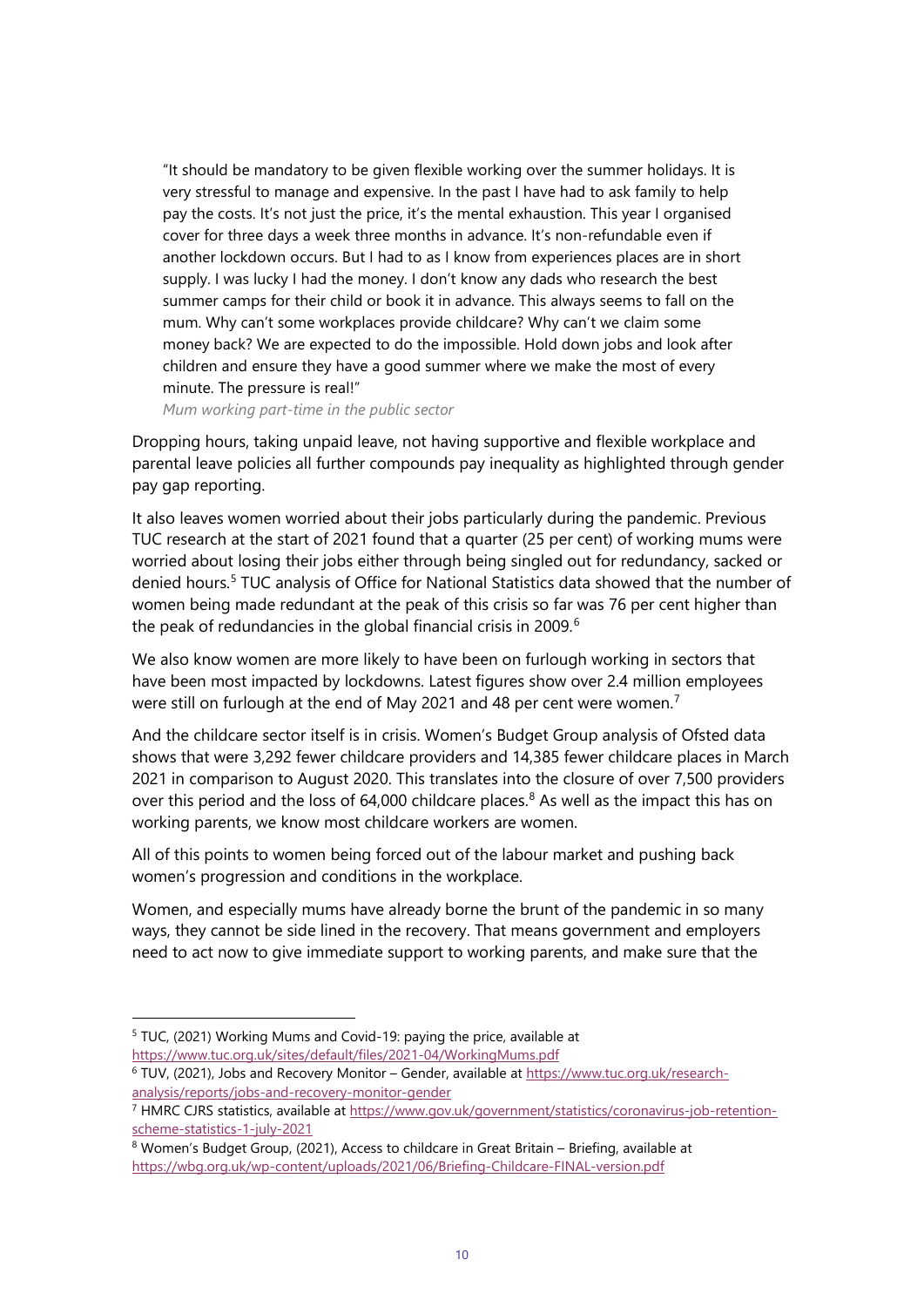"It should be mandatory to be given flexible working over the summer holidays. It is very stressful to manage and expensive. In the past I have had to ask family to help pay the costs. It's not just the price, it's the mental exhaustion. This year I organised cover for three days a week three months in advance. It's non-refundable even if another lockdown occurs. But I had to as I know from experiences places are in short supply. I was lucky I had the money. I don't know any dads who research the best summer camps for their child or book it in advance. This always seems to fall on the mum. Why can't some workplaces provide childcare? Why can't we claim some money back? We are expected to do the impossible. Hold down jobs and look after children and ensure they have a good summer where we make the most of every minute. The pressure is real!"

*Mum working part-time in the public sector* 

Dropping hours, taking unpaid leave, not having supportive and flexible workplace and parental leave policies all further compounds pay inequality as highlighted through gender pay gap reporting.

It also leaves women worried about their jobs particularly during the pandemic. Previous TUC research at the start of 2021 found that a quarter (25 per cent) of working mums were worried about losing their jobs either through being singled out for redundancy, sacked or denied hours.<sup>[5](#page-9-0)</sup> TUC analysis of Office for National Statistics data showed that the number of women being made redundant at the peak of this crisis so far was 76 per cent higher than the peak of redundancies in the global financial crisis in 2009.<sup>[6](#page-9-1)</sup>

We also know women are more likely to have been on furlough working in sectors that have been most impacted by lockdowns. Latest figures show over 2.4 million employees were still on furlough at the end of May 2021 and 48 per cent were women.<sup>[7](#page-9-2)</sup>

And the childcare sector itself is in crisis. Women's Budget Group analysis of Ofsted data shows that were 3,292 fewer childcare providers and 14,385 fewer childcare places in March 2021 in comparison to August 2020. This translates into the closure of over 7,500 providers over this period and the loss of 64,000 childcare places.<sup>[8](#page-9-3)</sup> As well as the impact this has on working parents, we know most childcare workers are women.

All of this points to women being forced out of the labour market and pushing back women's progression and conditions in the workplace.

Women, and especially mums have already borne the brunt of the pandemic in so many ways, they cannot be side lined in the recovery. That means government and employers need to act now to give immediate support to working parents, and make sure that the

<span id="page-9-0"></span><sup>5</sup> TUC, (2021) Working Mums and Covid-19: paying the price, available at <https://www.tuc.org.uk/sites/default/files/2021-04/WorkingMums.pdf>

<span id="page-9-1"></span><sup>6</sup> TUV, (2021), Jobs and Recovery Monitor – Gender, available at [https://www.tuc.org.uk/research](https://www.tuc.org.uk/research-analysis/reports/jobs-and-recovery-monitor-gender)[analysis/reports/jobs-and-recovery-monitor-gender](https://www.tuc.org.uk/research-analysis/reports/jobs-and-recovery-monitor-gender)

<span id="page-9-2"></span><sup>7</sup> HMRC CJRS statistics, available at [https://www.gov.uk/government/statistics/coronavirus-job-retention](https://www.gov.uk/government/statistics/coronavirus-job-retention-scheme-statistics-1-july-2021)[scheme-statistics-1-july-2021](https://www.gov.uk/government/statistics/coronavirus-job-retention-scheme-statistics-1-july-2021)

<span id="page-9-3"></span><sup>8</sup> Women's Budget Group, (2021), Access to childcare in Great Britain - Briefing, available at <https://wbg.org.uk/wp-content/uploads/2021/06/Briefing-Childcare-FINAL-version.pdf>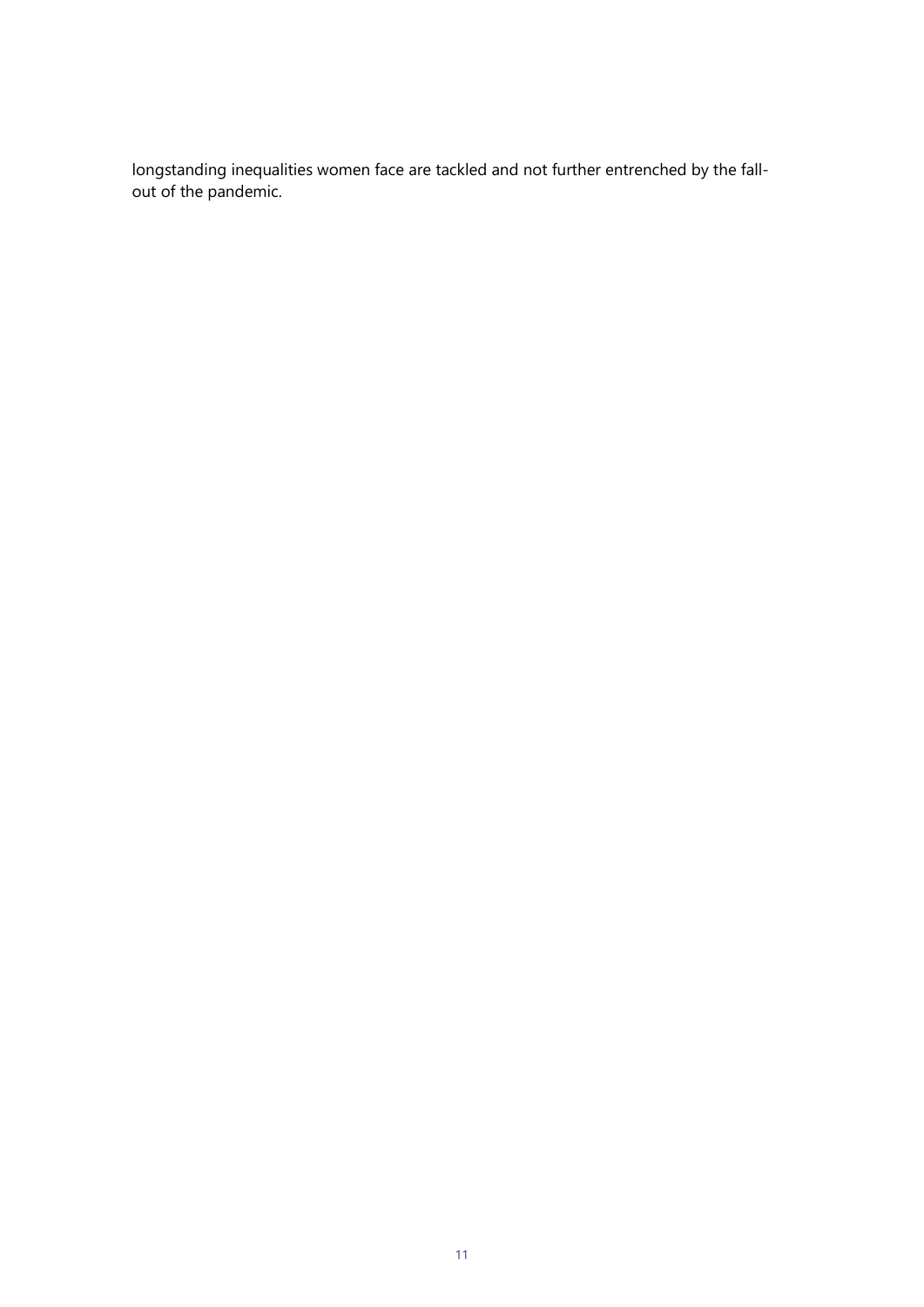longstanding inequalities women face are tackled and not further entrenched by the fallout of the pandemic.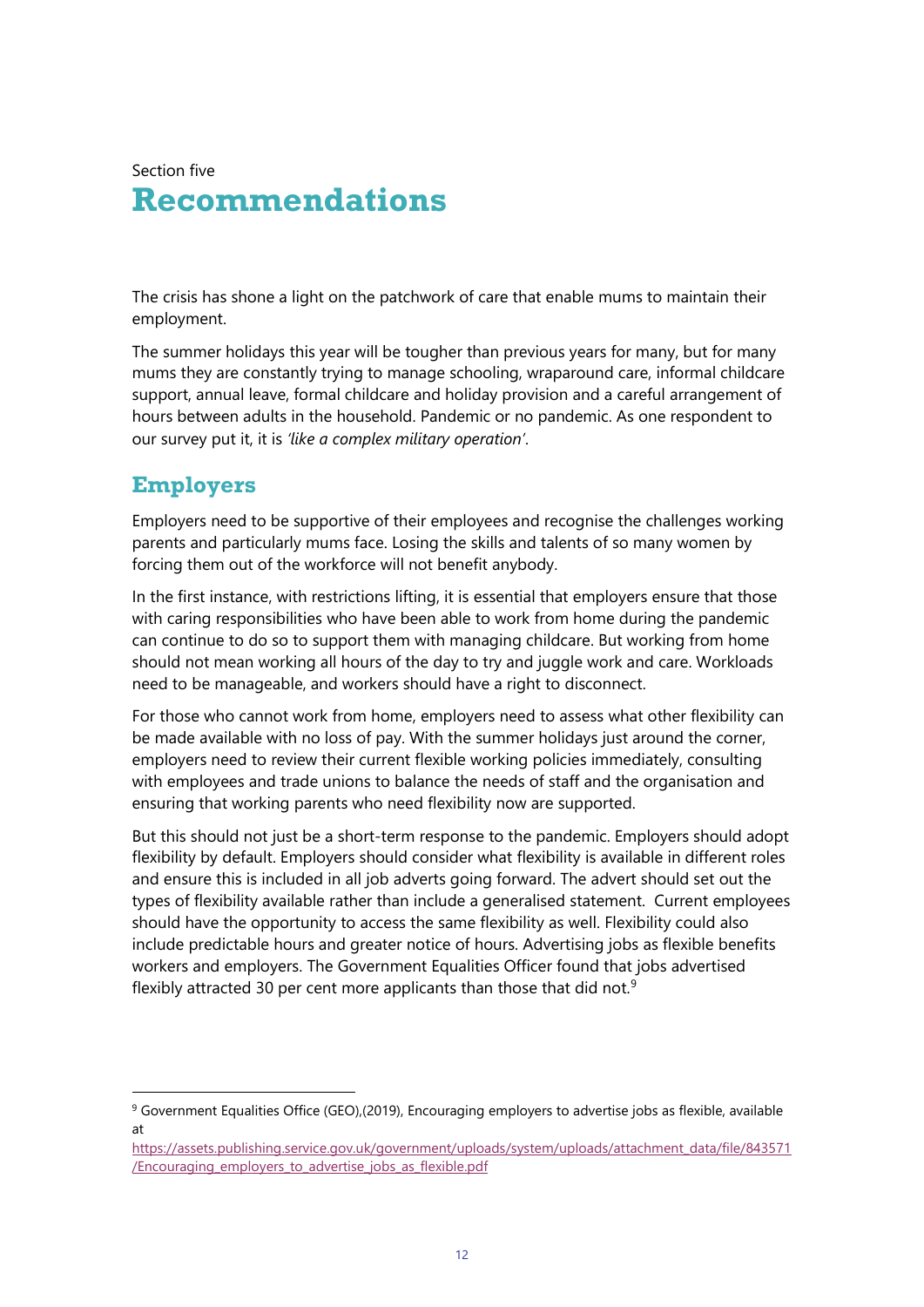Section five

## **Recommendations**

The crisis has shone a light on the patchwork of care that enable mums to maintain their employment.

The summer holidays this year will be tougher than previous years for many, but for many mums they are constantly trying to manage schooling, wraparound care, informal childcare support, annual leave, formal childcare and holiday provision and a careful arrangement of hours between adults in the household. Pandemic or no pandemic. As one respondent to our survey put it, it is *'like a complex military operation'*.

### **Employers**

Employers need to be supportive of their employees and recognise the challenges working parents and particularly mums face. Losing the skills and talents of so many women by forcing them out of the workforce will not benefit anybody.

In the first instance, with restrictions lifting, it is essential that employers ensure that those with caring responsibilities who have been able to work from home during the pandemic can continue to do so to support them with managing childcare. But working from home should not mean working all hours of the day to try and juggle work and care. Workloads need to be manageable, and workers should have a right to disconnect.

For those who cannot work from home, employers need to assess what other flexibility can be made available with no loss of pay. With the summer holidays just around the corner, employers need to review their current flexible working policies immediately, consulting with employees and trade unions to balance the needs of staff and the organisation and ensuring that working parents who need flexibility now are supported.

But this should not just be a short-term response to the pandemic. Employers should adopt flexibility by default. Employers should consider what flexibility is available in different roles and ensure this is included in all job adverts going forward. The advert should set out the types of flexibility available rather than include a generalised statement. Current employees should have the opportunity to access the same flexibility as well. Flexibility could also include predictable hours and greater notice of hours. Advertising jobs as flexible benefits workers and employers. The Government Equalities Officer found that jobs advertised flexibly attracted 30 per cent more applicants than those that did not.<sup>[9](#page-11-0)</sup>

<span id="page-11-0"></span><sup>9</sup> Government Equalities Office (GEO),(2019), Encouraging employers to advertise jobs as flexible, available at

[https://assets.publishing.service.gov.uk/government/uploads/system/uploads/attachment\\_data/file/843571](https://assets.publishing.service.gov.uk/government/uploads/system/uploads/attachment_data/file/843571/Encouraging_employers_to_advertise_jobs_as_flexible.pdf) [/Encouraging\\_employers\\_to\\_advertise\\_jobs\\_as\\_flexible.pdf](https://assets.publishing.service.gov.uk/government/uploads/system/uploads/attachment_data/file/843571/Encouraging_employers_to_advertise_jobs_as_flexible.pdf)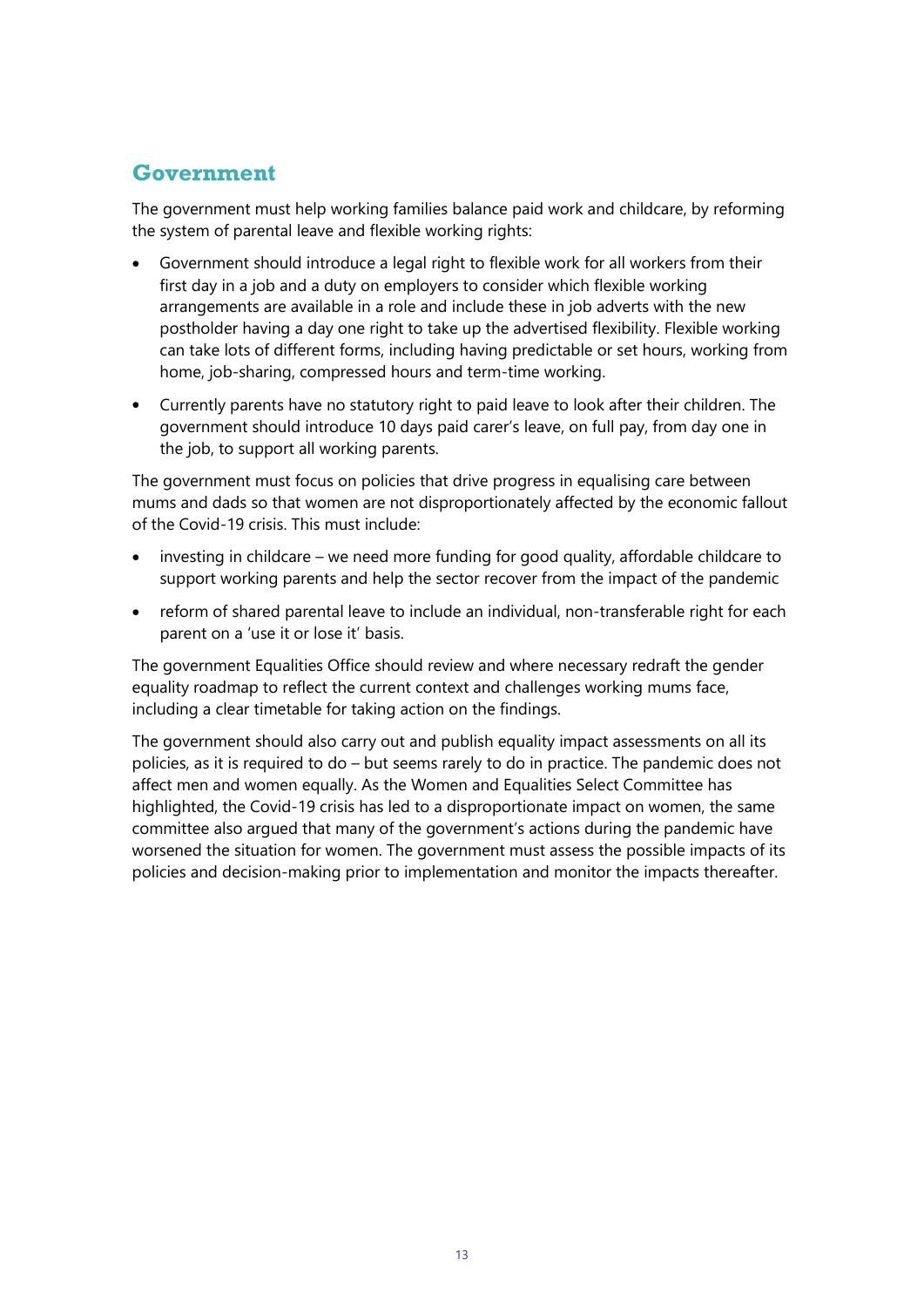### **Government**

The government must help working families balance paid work and childcare, by reforming the system of parental leave and flexible working rights:

- Government should introduce a legal right to flexible work for all workers from their first day in a job and a duty on employers to consider which flexible working arrangements are available in a role and include these in job adverts with the new postholder having a day one right to take up the advertised flexibility. Flexible working can take lots of different forms, including having predictable or set hours, working from home, job-sharing, compressed hours and term-time working.
- Currently parents have no statutory right to paid leave to look after their children. The government should introduce 10 days paid carer's leave, on full pay, from day one in the job, to support all working parents.

The government must focus on policies that drive progress in equalising care between mums and dads so that women are not disproportionately affected by the economic fallout of the Covid-19 crisis. This must include:

- investing in childcare we need more funding for good quality, affordable childcare to support working parents and help the sector recover from the impact of the pandemic
- reform of shared parental leave to include an individual, non-transferable right for each parent on a 'use it or lose it' basis.

The government Equalities Office should review and where necessary redraft the gender equality roadmap to reflect the current context and challenges working mums face, including a clear timetable for taking action on the findings.

The government should also carry out and publish equality impact assessments on all its policies, as it is required to do – but seems rarely to do in practice. The pandemic does not affect men and women equally. As the Women and Equalities Select Committee has highlighted, the Covid-19 crisis has led to a disproportionate impact on women, the same committee also argued that many of the government's actions during the pandemic have worsened the situation for women. The government must assess the possible impacts of its policies and decision-making prior to implementation and monitor the impacts thereafter.